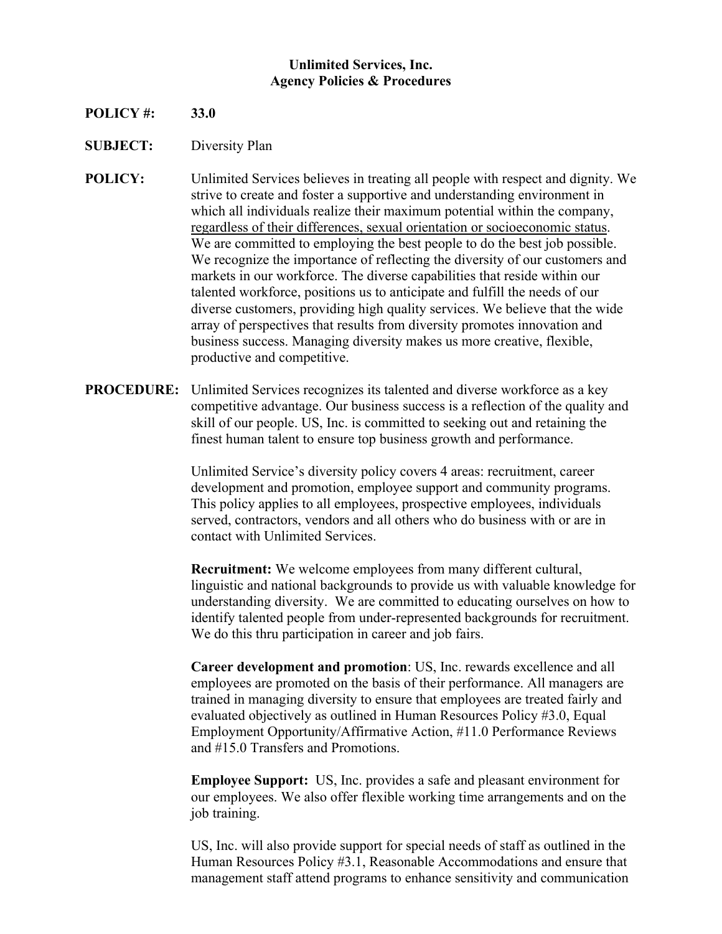## **Unlimited Services, Inc. Agency Policies & Procedures**

- **POLICY #: 33.0**
- **SUBJECT:** Diversity Plan
- **POLICY:** Unlimited Services believes in treating all people with respect and dignity. We strive to create and foster a supportive and understanding environment in which all individuals realize their maximum potential within the company, regardless of their differences, sexual orientation or socioeconomic status. We are committed to employing the best people to do the best job possible. We recognize the importance of reflecting the diversity of our customers and markets in our workforce. The diverse capabilities that reside within our talented workforce, positions us to anticipate and fulfill the needs of our diverse customers, providing high quality services. We believe that the wide array of perspectives that results from diversity promotes innovation and business success. Managing diversity makes us more creative, flexible, productive and competitive.
- **PROCEDURE:** Unlimited Services recognizes its talented and diverse workforce as a key competitive advantage. Our business success is a reflection of the quality and skill of our people. US, Inc. is committed to seeking out and retaining the finest human talent to ensure top business growth and performance.

Unlimited Service's diversity policy covers 4 areas: recruitment, career development and promotion, employee support and community programs. This policy applies to all employees, prospective employees, individuals served, contractors, vendors and all others who do business with or are in contact with Unlimited Services.

**Recruitment:** We welcome employees from many different cultural, linguistic and national backgrounds to provide us with valuable knowledge for understanding diversity. We are committed to educating ourselves on how to identify talented people from under-represented backgrounds for recruitment. We do this thru participation in career and job fairs.

**Career development and promotion**: US, Inc. rewards excellence and all employees are promoted on the basis of their performance. All managers are trained in managing diversity to ensure that employees are treated fairly and evaluated objectively as outlined in Human Resources Policy #3.0, Equal Employment Opportunity/Affirmative Action, #11.0 Performance Reviews and #15.0 Transfers and Promotions.

**Employee Support:** US, Inc. provides a safe and pleasant environment for our employees. We also offer flexible working time arrangements and on the job training.

US, Inc. will also provide support for special needs of staff as outlined in the Human Resources Policy #3.1, Reasonable Accommodations and ensure that management staff attend programs to enhance sensitivity and communication